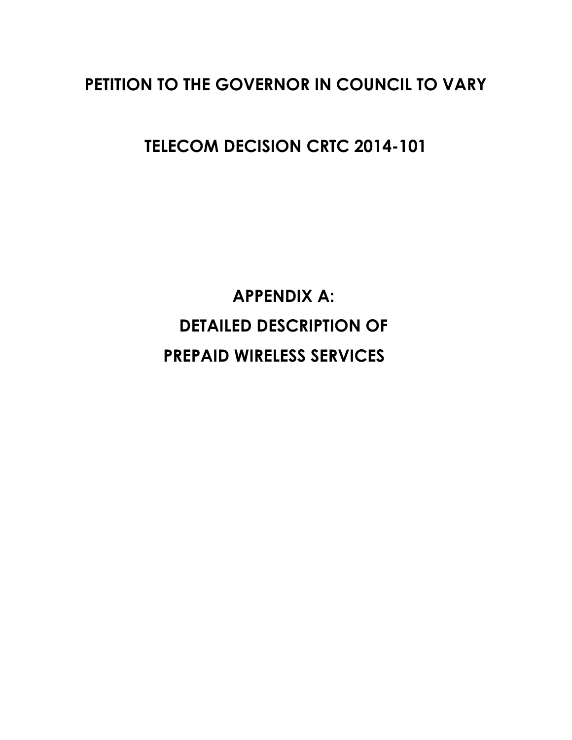# **PETITION TO THE GOVERNOR IN COUNCIL TO VARY**

**TELECOM DECISION CRTC 2014-101**

**APPENDIX A: DETAILED DESCRIPTION OF PREPAID WIRELESS SERVICES**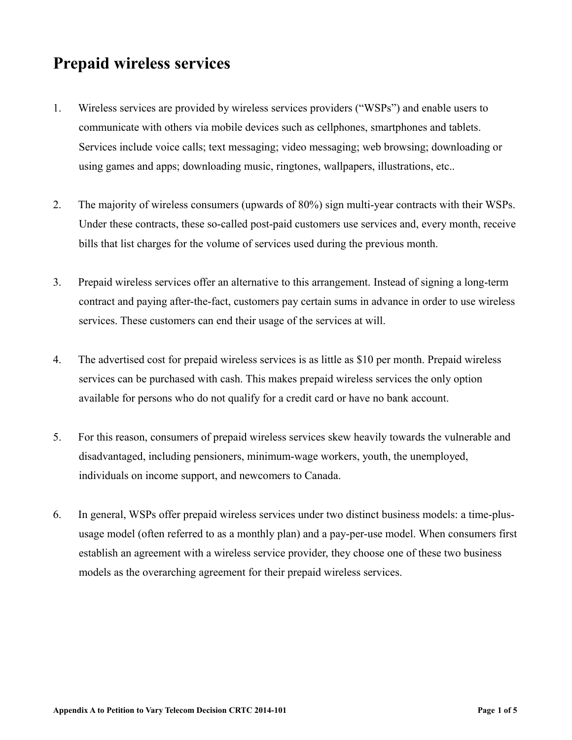# **Prepaid wireless services**

- 1. Wireless services are provided by wireless services providers ("WSPs") and enable users to communicate with others via mobile devices such as cellphones, smartphones and tablets. Services include voice calls; text messaging; video messaging; web browsing; downloading or using games and apps; downloading music, ringtones, wallpapers, illustrations, etc..
- 2. The majority of wireless consumers (upwards of 80%) sign multi-year contracts with their WSPs. Under these contracts, these so-called post-paid customers use services and, every month, receive bills that list charges for the volume of services used during the previous month.
- 3. Prepaid wireless services offer an alternative to this arrangement. Instead of signing a long-term contract and paying after-the-fact, customers pay certain sums in advance in order to use wireless services. These customers can end their usage of the services at will.
- 4. The advertised cost for prepaid wireless services is as little as \$10 per month. Prepaid wireless services can be purchased with cash. This makes prepaid wireless services the only option available for persons who do not qualify for a credit card or have no bank account.
- 5. For this reason, consumers of prepaid wireless services skew heavily towards the vulnerable and disadvantaged, including pensioners, minimum-wage workers, youth, the unemployed, individuals on income support, and newcomers to Canada.
- 6. In general, WSPs offer prepaid wireless services under two distinct business models: a time-plususage model (often referred to as a monthly plan) and a pay-per-use model. When consumers first establish an agreement with a wireless service provider, they choose one of these two business models as the overarching agreement for their prepaid wireless services.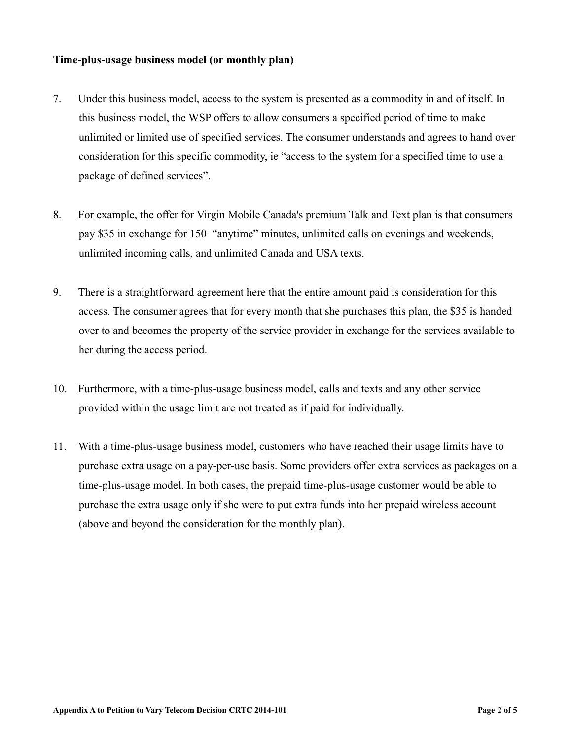## **Time-plus-usage business model (or monthly plan)**

- 7. Under this business model, access to the system is presented as a commodity in and of itself. In this business model, the WSP offers to allow consumers a specified period of time to make unlimited or limited use of specified services. The consumer understands and agrees to hand over consideration for this specific commodity, ie "access to the system for a specified time to use a package of defined services".
- 8. For example, the offer for Virgin Mobile Canada's premium Talk and Text plan is that consumers pay \$35 in exchange for 150 "anytime" minutes, unlimited calls on evenings and weekends, unlimited incoming calls, and unlimited Canada and USA texts.
- 9. There is a straightforward agreement here that the entire amount paid is consideration for this access. The consumer agrees that for every month that she purchases this plan, the \$35 is handed over to and becomes the property of the service provider in exchange for the services available to her during the access period.
- 10. Furthermore, with a time-plus-usage business model, calls and texts and any other service provided within the usage limit are not treated as if paid for individually.
- 11. With a time-plus-usage business model, customers who have reached their usage limits have to purchase extra usage on a pay-per-use basis. Some providers offer extra services as packages on a time-plus-usage model. In both cases, the prepaid time-plus-usage customer would be able to purchase the extra usage only if she were to put extra funds into her prepaid wireless account (above and beyond the consideration for the monthly plan).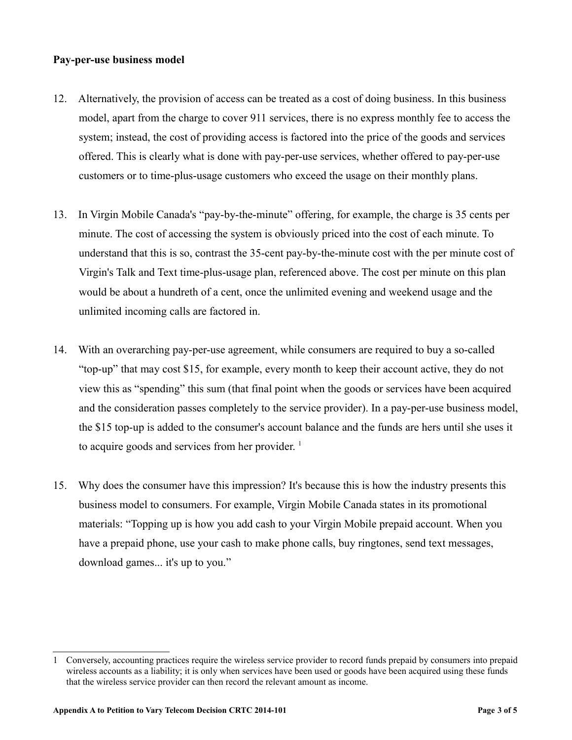### **Pay-per-use business model**

- 12. Alternatively, the provision of access can be treated as a cost of doing business. In this business model, apart from the charge to cover 911 services, there is no express monthly fee to access the system; instead, the cost of providing access is factored into the price of the goods and services offered. This is clearly what is done with pay-per-use services, whether offered to pay-per-use customers or to time-plus-usage customers who exceed the usage on their monthly plans.
- 13. In Virgin Mobile Canada's "pay-by-the-minute" offering, for example, the charge is 35 cents per minute. The cost of accessing the system is obviously priced into the cost of each minute. To understand that this is so, contrast the 35-cent pay-by-the-minute cost with the per minute cost of Virgin's Talk and Text time-plus-usage plan, referenced above. The cost per minute on this plan would be about a hundreth of a cent, once the unlimited evening and weekend usage and the unlimited incoming calls are factored in.
- 14. With an overarching pay-per-use agreement, while consumers are required to buy a so-called "top-up" that may cost \$15, for example, every month to keep their account active, they do not view this as "spending" this sum (that final point when the goods or services have been acquired and the consideration passes completely to the service provider). In a pay-per-use business model, the \$15 top-up is added to the consumer's account balance and the funds are hers until she uses it to acquire goods and services from her provider.<sup>[1](#page-3-0)</sup>
- 15. Why does the consumer have this impression? It's because this is how the industry presents this business model to consumers. For example, Virgin Mobile Canada states in its promotional materials: "Topping up is how you add cash to your Virgin Mobile prepaid account. When you have a prepaid phone, use your cash to make phone calls, buy ringtones, send text messages, download games... it's up to you."

<span id="page-3-0"></span><sup>1</sup> Conversely, accounting practices require the wireless service provider to record funds prepaid by consumers into prepaid wireless accounts as a liability; it is only when services have been used or goods have been acquired using these funds that the wireless service provider can then record the relevant amount as income.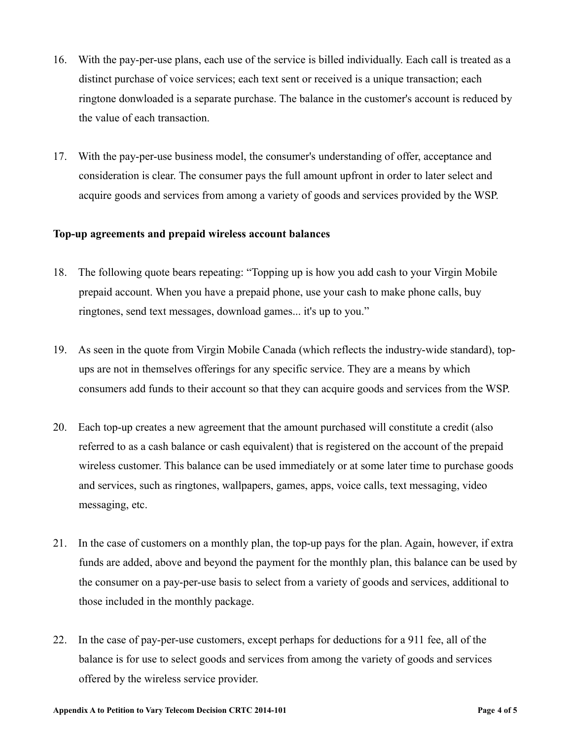- 16. With the pay-per-use plans, each use of the service is billed individually. Each call is treated as a distinct purchase of voice services; each text sent or received is a unique transaction; each ringtone donwloaded is a separate purchase. The balance in the customer's account is reduced by the value of each transaction.
- 17. With the pay-per-use business model, the consumer's understanding of offer, acceptance and consideration is clear. The consumer pays the full amount upfront in order to later select and acquire goods and services from among a variety of goods and services provided by the WSP.

### **Top-up agreements and prepaid wireless account balances**

- 18. The following quote bears repeating: "Topping up is how you add cash to your Virgin Mobile prepaid account. When you have a prepaid phone, use your cash to make phone calls, buy ringtones, send text messages, download games... it's up to you."
- 19. As seen in the quote from Virgin Mobile Canada (which reflects the industry-wide standard), topups are not in themselves offerings for any specific service. They are a means by which consumers add funds to their account so that they can acquire goods and services from the WSP.
- 20. Each top-up creates a new agreement that the amount purchased will constitute a credit (also referred to as a cash balance or cash equivalent) that is registered on the account of the prepaid wireless customer. This balance can be used immediately or at some later time to purchase goods and services, such as ringtones, wallpapers, games, apps, voice calls, text messaging, video messaging, etc.
- 21. In the case of customers on a monthly plan, the top-up pays for the plan. Again, however, if extra funds are added, above and beyond the payment for the monthly plan, this balance can be used by the consumer on a pay-per-use basis to select from a variety of goods and services, additional to those included in the monthly package.
- 22. In the case of pay-per-use customers, except perhaps for deductions for a 911 fee, all of the balance is for use to select goods and services from among the variety of goods and services offered by the wireless service provider.